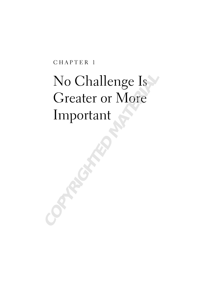CHAPTER 1

## No Challenge Is Greater or More Important *No Challenge Is*<br>
Greater or More<br>
Important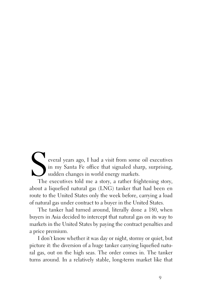everal years ago, I had a visit from some oil executives in my Santa Fe office that signaled sharp, surprising, sudden changes in world energy markets.

The executives told me a story, a rather frightening story, about a liquefied natural gas (LNG) tanker that had been en route to the United States only the week before, carrying a load of natural gas under contract to a buyer in the United States.

The tanker had turned around, literally done a 180, when buyers in Asia decided to intercept that natural gas on its way to markets in the United States by paying the contract penalties and a price premium.

I don't know whether it was day or night, stormy or quiet, but picture it: the diversion of a huge tanker carrying liquefied natural gas, out on the high seas. The order comes in. The tanker turns around. In a relatively stable, long-term market like that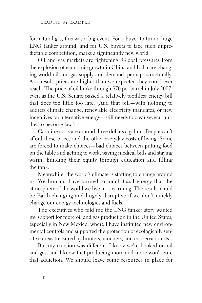for natural gas, this was a big event. For a buyer to turn a huge LNG tanker around, and for U.S. buyers to face such unpredictable competition, marks a significantly new world.

Oil and gas markets are tightening. Global pressures from the explosion of economic growth in China and India are changing world oil and gas supply and demand, perhaps structurally. As a result, prices are higher than we expected they could ever reach. The price of oil broke through \$70 per barrel in July 2007, even as the U.S. Senate passed a relatively toothless energy bill that does too little too late. (And that bill—with nothing to address climate change, renewable electricity mandates, or new incentives for alternative energy—still needs to clear several hurdles to become law.)

Gasoline costs are around three dollars a gallon. People can't afford these prices and the other everyday costs of living. Some are forced to make choices—bad choices between putting food on the table and getting to work, paying medical bills and staying warm, building their equity through education and filling the tank.

Meanwhile, the world's climate is starting to change around us. We humans have burned so much fossil energy that the atmosphere of the world we live in is warming. The results could be Earth-changing and hugely disruptive if we don't quickly change our energy technologies and fuels.

The executives who told me the LNG tanker story wanted my support for more oil and gas production in the United States, especially in New Mexico, where I have instituted new environmental controls and supported the protection of ecologically sensitive areas treasured by hunters, ranchers, and conservationists.

But my reaction was different. I know we're hooked on oil and gas, and I know that producing more and more won't cure that addiction. We should leave some resources in place for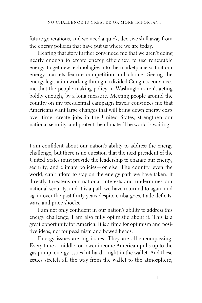future generations, and we need a quick, decisive shift away from the energy policies that have put us where we are today.

Hearing that story further convinced me that we aren't doing nearly enough to create energy efficiency, to use renewable energy, to get new technologies into the marketplace so that our energy markets feature competition and choice. Seeing the energy legislation working through a divided Congress convinces me that the people making policy in Washington aren't acting boldly enough, by a long measure. Meeting people around the country on my presidential campaign travels convinces me that Americans want large changes that will bring down energy costs over time, create jobs in the United States, strengthen our national security, and protect the climate. The world is waiting.

I am confident about our nation's ability to address the energy challenge, but there is no question that the next president of the United States must provide the leadership to change our energy, security, and climate policies—or else. The country, even the world, can't afford to stay on the energy path we have taken. It directly threatens our national interests and undermines our national security, and it is a path we have returned to again and again over the past thirty years despite embargoes, trade deficits, wars, and price shocks.

I am not only confident in our nation's ability to address this energy challenge, I am also fully optimistic about it. This is a great opportunity for America. It is a time for optimism and positive ideas, not for pessimism and bowed heads.

Energy issues are big issues. They are all-encompassing. Every time a middle- or lower-income American pulls up to the gas pump, energy issues hit hard—right in the wallet. And these issues stretch all the way from the wallet to the atmosphere,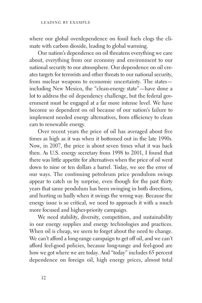where our global overdependence on fossil fuels clogs the climate with carbon dioxide, leading to global warming.

Our nation's dependence on oil threatens everything we care about, everything from our economy and environment to our national security to our atmosphere. Our dependence on oil creates targets for terrorists and other threats to our national security, from nuclear weapons to economic uncertainty. The states including New Mexico, the "clean-energy state"—have done a lot to address the oil dependency challenge, but the federal government must be engaged at a far more intense level. We have become so dependent on oil because of our nation's failure to implement needed energy alternatives, from efficiency to clean cars to renewable energy.

Over recent years the price of oil has averaged about five times as high as it was when it bottomed out in the late 1990s. Now, in 2007, the price is about seven times what it was back then. As U.S. energy secretary from 1998 to 2001, I found that there was little appetite for alternatives when the price of oil went down to nine or ten dollars a barrel. Today, we see the error of our ways. The continuing petroleum price pendulum swings appear to catch us by surprise, even though for the past thirty years that same pendulum has been swinging in both directions, and hurting us badly when it swings the wrong way. Because the energy issue is so critical, we need to approach it with a much more focused and higher-priority campaign.

We need stability, diversity, competition, and sustainability in our energy supplies and energy technologies and practices. When oil is cheap, we seem to forget about the need to change. We can't afford a long-range campaign to get off oil, and we can't afford feel-good policies, because long-range and feel-good are how we got where we are today. And "today" includes 65 percent dependence on foreign oil, high energy prices, almost total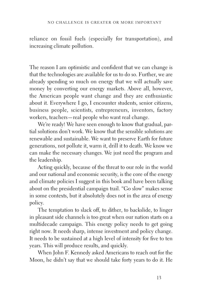reliance on fossil fuels (especially for transportation), and increasing climate pollution.

The reason I am optimistic and confident that we can change is that the technologies are available for us to do so. Further, we are already spending so much on energy that we will actually save money by converting our energy markets. Above all, however, the American people want change and they are enthusiastic about it. Everywhere I go, I encounter students, senior citizens, business people, scientists, entrepreneurs, inventors, factory workers, teachers—real people who want real change.

We're ready! We have seen enough to know that gradual, partial solutions don't work. We know that the sensible solutions are renewable and sustainable. We want to preserve Earth for future generations, not pollute it, warm it, drill it to death. We know we can make the necessary changes. We just need the program and the leadership.

Acting quickly, because of the threat to our role in the world and our national and economic security, is the core of the energy and climate policies I suggest in this book and have been talking about on the presidential campaign trail. "Go slow" makes sense in some contexts, but it absolutely does not in the area of energy policy.

The temptation to slack off, to dither, to backslide, to linger in pleasant side channels is too great when our nation starts on a multidecade campaign. This energy policy needs to get going right now. It needs sharp, intense investment and policy change. It needs to be sustained at a high level of intensity for five to ten years. This will produce results, and quickly.

When John F. Kennedy asked Americans to reach out for the Moon, he didn't say that we should take forty years to do it. He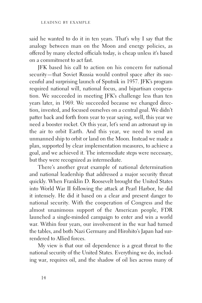said he wanted to do it in ten years. That's why I say that the analogy between man on the Moon and energy policies, as offered by many elected officials today, is cheap unless it's based on a commitment to act fast.

JFK based his call to action on his concern for national security—that Soviet Russia would control space after its successful and surprising launch of Sputnik in 1957. JFK's program required national will, national focus, and bipartisan cooperation. We succeeded in meeting JFK's challenge less than ten years later, in 1969. We succeeded because we changed direction, invested, and focused ourselves on a central goal. We didn't patter back and forth from year to year saying, well, this year we need a booster rocket. Or this year, let's send an astronaut up in the air to orbit Earth. And this year, we need to send an unmanned ship to orbit or land on the Moon. Instead we made a plan, supported by clear implementation measures, to achieve a goal, and we achieved it. The intermediate steps were necessary, but they were recognized as intermediate.

There's another great example of national determination and national leadership that addressed a major security threat quickly. When Franklin D. Roosevelt brought the United States into World War II following the attack at Pearl Harbor, he did it intensely. He did it based on a clear and present danger to national security. With the cooperation of Congress and the almost unanimous support of the American people, FDR launched a single-minded campaign to enter and win a world war. Within four years, our involvement in the war had turned the tables, and both Nazi Germany and Hirohito's Japan had surrendered to Allied forces.

My view is that our oil dependence is a great threat to the national security of the United States. Everything we do, including war, requires oil, and the shadow of oil lies across many of